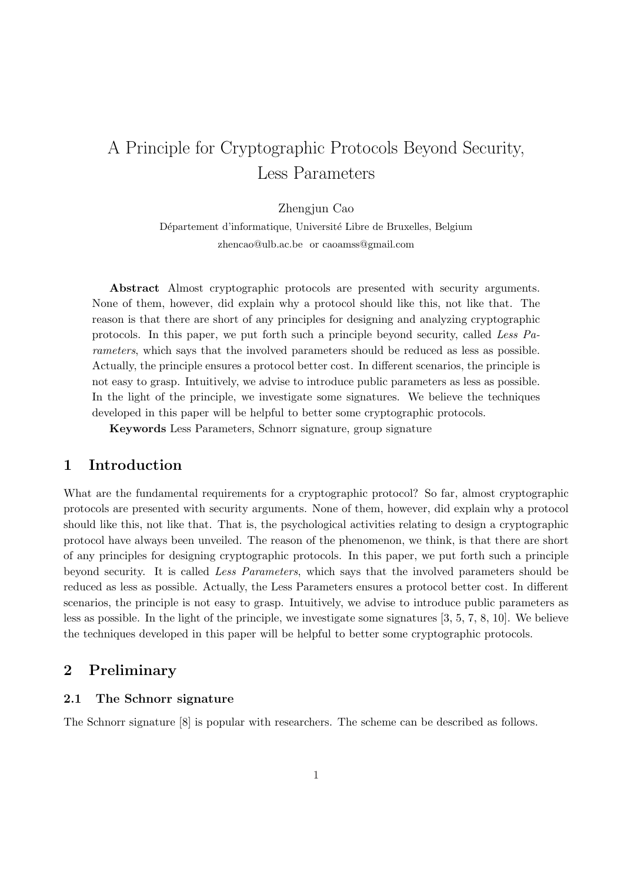# A Principle for Cryptographic Protocols Beyond Security, Less Parameters

Zhengjun Cao

Département d'informatique, Université Libre de Bruxelles, Belgium zhencao@ulb.ac.be or caoamss@gmail.com

Abstract Almost cryptographic protocols are presented with security arguments. None of them, however, did explain why a protocol should like this, not like that. The reason is that there are short of any principles for designing and analyzing cryptographic protocols. In this paper, we put forth such a principle beyond security, called Less Parameters, which says that the involved parameters should be reduced as less as possible. Actually, the principle ensures a protocol better cost. In different scenarios, the principle is not easy to grasp. Intuitively, we advise to introduce public parameters as less as possible. In the light of the principle, we investigate some signatures. We believe the techniques developed in this paper will be helpful to better some cryptographic protocols.

Keywords Less Parameters, Schnorr signature, group signature

## 1 Introduction

What are the fundamental requirements for a cryptographic protocol? So far, almost cryptographic protocols are presented with security arguments. None of them, however, did explain why a protocol should like this, not like that. That is, the psychological activities relating to design a cryptographic protocol have always been unveiled. The reason of the phenomenon, we think, is that there are short of any principles for designing cryptographic protocols. In this paper, we put forth such a principle beyond security. It is called Less Parameters, which says that the involved parameters should be reduced as less as possible. Actually, the Less Parameters ensures a protocol better cost. In different scenarios, the principle is not easy to grasp. Intuitively, we advise to introduce public parameters as less as possible. In the light of the principle, we investigate some signatures [3, 5, 7, 8, 10]. We believe the techniques developed in this paper will be helpful to better some cryptographic protocols.

## 2 Preliminary

### 2.1 The Schnorr signature

The Schnorr signature [8] is popular with researchers. The scheme can be described as follows.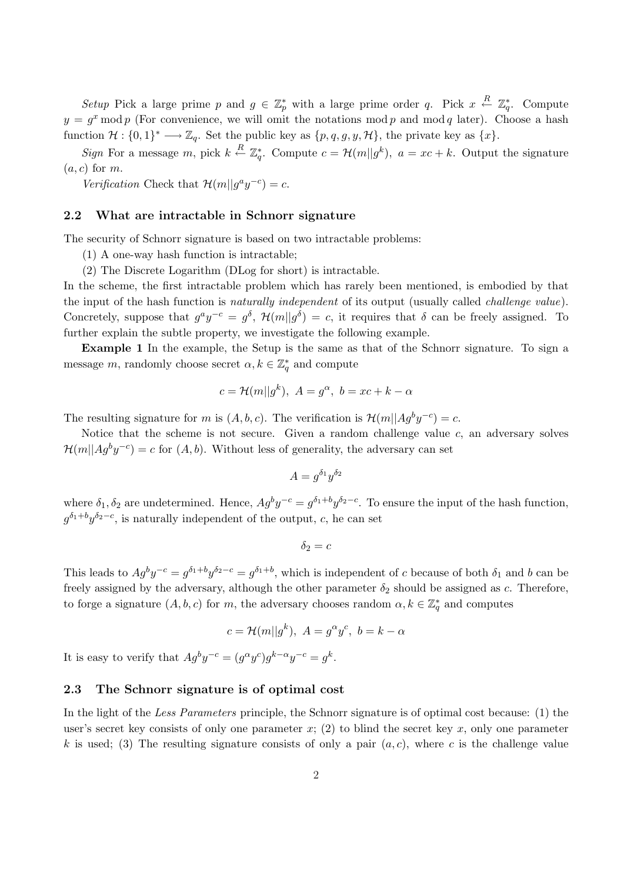Setup Pick a large prime p and  $g \in \mathbb{Z}_p^*$  with a large prime order q. Pick  $x \stackrel{R}{\leftarrow} \mathbb{Z}_q^*$ . Compute  $y = g^x \mod p$  (For convenience, we will omit the notations mod p and mod q later). Choose a hash function  $\mathcal{H}: \{0,1\}^* \longrightarrow \mathbb{Z}_q$ . Set the public key as  $\{p,q,g,y,\mathcal{H}\}\)$ , the private key as  $\{x\}$ .

Sign For a message m, pick  $k \stackrel{R}{\leftarrow} \mathbb{Z}_q^*$ . Compute  $c = \mathcal{H}(m||g^k)$ ,  $a = xc + k$ . Output the signature  $(a, c)$  for m.

Verification Check that  $\mathcal{H}(m||g^ay^{-c})=c$ .

#### 2.2 What are intractable in Schnorr signature

The security of Schnorr signature is based on two intractable problems:

(1) A one-way hash function is intractable;

(2) The Discrete Logarithm (DLog for short) is intractable.

In the scheme, the first intractable problem which has rarely been mentioned, is embodied by that the input of the hash function is naturally independent of its output (usually called challenge value). Concretely, suppose that  $g^a y^{-c} = g^{\delta}$ ,  $\mathcal{H}(m||g^{\delta}) = c$ , it requires that  $\delta$  can be freely assigned. To further explain the subtle property, we investigate the following example.

Example 1 In the example, the Setup is the same as that of the Schnorr signature. To sign a message m, randomly choose secret  $\alpha, k \in \mathbb{Z}_q^*$  and compute

$$
c = \mathcal{H}(m||g^k), \ A = g^{\alpha}, \ b = xc + k - \alpha
$$

The resulting signature for m is  $(A, b, c)$ . The verification is  $\mathcal{H}(m||Ag^by^{-c}) = c$ .

Notice that the scheme is not secure. Given a random challenge value  $c$ , an adversary solves  $\mathcal{H}(m||Ag^by^{-c})=c$  for  $(A, b)$ . Without less of generality, the adversary can set

$$
A = g^{\delta_1} y^{\delta_2}
$$

where  $\delta_1, \delta_2$  are undetermined. Hence,  $Ag^by^{-c} = g^{\delta_1+b}y^{\delta_2-c}$ . To ensure the input of the hash function,  $g^{\delta_1+b}y^{\delta_2-c}$ , is naturally independent of the output, c, he can set

$$
\delta_2 = c
$$

This leads to  $Ag^by^{-c} = g^{\delta_1+b}y^{\delta_2-c} = g^{\delta_1+b}$ , which is independent of c because of both  $\delta_1$  and b can be freely assigned by the adversary, although the other parameter  $\delta_2$  should be assigned as c. Therefore, to forge a signature  $(A, b, c)$  for m, the adversary chooses random  $\alpha, k \in \mathbb{Z}_q^*$  and computes

$$
c = \mathcal{H}(m||g^k), \ A = g^{\alpha}y^c, \ b = k - \alpha
$$

It is easy to verify that  $Ag^by^{-c} = (g^{\alpha}y^c)g^{k-\alpha}y^{-c} = g^k$ .

#### 2.3 The Schnorr signature is of optimal cost

In the light of the Less Parameters principle, the Schnorr signature is of optimal cost because: (1) the user's secret key consists of only one parameter x; (2) to blind the secret key x, only one parameter k is used; (3) The resulting signature consists of only a pair  $(a, c)$ , where c is the challenge value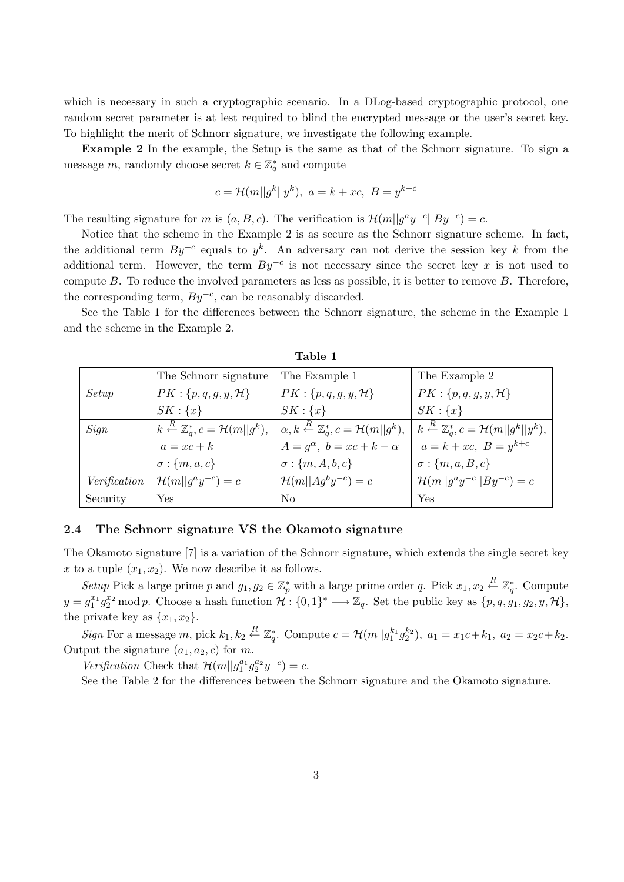which is necessary in such a cryptographic scenario. In a DLog-based cryptographic protocol, one random secret parameter is at lest required to blind the encrypted message or the user's secret key. To highlight the merit of Schnorr signature, we investigate the following example.

Example 2 In the example, the Setup is the same as that of the Schnorr signature. To sign a message m, randomly choose secret  $k \in \mathbb{Z}_q^*$  and compute

$$
c = \mathcal{H}(m||g^k||y^k), \ a = k + xc, \ B = y^{k+c}
$$

The resulting signature for m is  $(a, B, c)$ . The verification is  $\mathcal{H}(m||g^a y^{-c}||By^{-c}) = c$ .

Notice that the scheme in the Example 2 is as secure as the Schnorr signature scheme. In fact, the additional term  $By^{-c}$  equals to  $y^k$ . An adversary can not derive the session key k from the additional term. However, the term  $By^{-c}$  is not necessary since the secret key x is not used to compute  $B$ . To reduce the involved parameters as less as possible, it is better to remove  $B$ . Therefore, the corresponding term,  $By^{-c}$ , can be reasonably discarded.

See the Table 1 for the differences between the Schnorr signature, the scheme in the Example 1 and the scheme in the Example 2.

|              | The Schnorr signature          | The Example 1                                                                                                                                          | The Example 2                                                              |  |
|--------------|--------------------------------|--------------------------------------------------------------------------------------------------------------------------------------------------------|----------------------------------------------------------------------------|--|
| Setup        | $PK: \{p,q,g,y,\mathcal{H}\}\$ | $PK: \{p,q,g,y,\mathcal{H}\}\$                                                                                                                         | $PK: \{p,q,g,y,\mathcal{H}\}\$                                             |  |
|              | $SK: \{x\}$                    | $SK: \{x\}$                                                                                                                                            | $SK: \{x\}$                                                                |  |
| Sign         |                                | $k \stackrel{R}{\leftarrow} \mathbb{Z}_q^*, c = \mathcal{H}(m  g^k), \mid \alpha, k \stackrel{R}{\leftarrow} \mathbb{Z}_q^*, c = \mathcal{H}(m  g^k),$ | $k \stackrel{R}{\leftarrow} \mathbb{Z}_q^*, c = \mathcal{H}(m  g^k  y^k),$ |  |
|              | $a = xc + k$                   | $A = q^{\alpha}, b = xc + k - \alpha$                                                                                                                  | $a = k + xc$ , $B = y^{k+c}$                                               |  |
|              | $\sigma : \{m, a, c\}$         | $\sigma : \{m, A, b, c\}$                                                                                                                              | $\sigma : \{m, a, B, c\}$                                                  |  |
| Verification | $\mathcal{H}(m  g^ay^{-c})=c$  | $\mathcal{H}(m  Ag^by^{-c})=c$                                                                                                                         | $\mathcal{H}(m  g^ay^{-c}  By^{-c})=c$                                     |  |
| Security     | Yes                            | No                                                                                                                                                     | Yes                                                                        |  |

Table 1

#### 2.4 The Schnorr signature VS the Okamoto signature

The Okamoto signature [7] is a variation of the Schnorr signature, which extends the single secret key x to a tuple  $(x_1, x_2)$ . We now describe it as follows.

Setup Pick a large prime p and  $g_1, g_2 \in \mathbb{Z}_p^*$  with a large prime order q. Pick  $x_1, x_2 \stackrel{R}{\leftarrow} \mathbb{Z}_q^*$ . Compute  $y = g_1^{x_1} g_2^{x_2} \mod p$ . Choose a hash function  $\mathcal{H}: \{0,1\}^* \longrightarrow \mathbb{Z}_q$ . Set the public key as  $\{p,q,g_1,g_2,y,\mathcal{H}\},$ the private key as  $\{x_1, x_2\}.$ 

Sign For a message m, pick  $k_1, k_2 \stackrel{R}{\leftarrow} \mathbb{Z}_q^*$ . Compute  $c = \mathcal{H}(m||g_1^{k_1}g_2^{k_2}), a_1 = x_1c + k_1, a_2 = x_2c + k_2$ . Output the signature  $(a_1, a_2, c)$  for m.

Verification Check that  $\mathcal{H}(m||g_1^{a_1}g_2^{a_2}y^{-c}) = c$ .

See the Table 2 for the differences between the Schnorr signature and the Okamoto signature.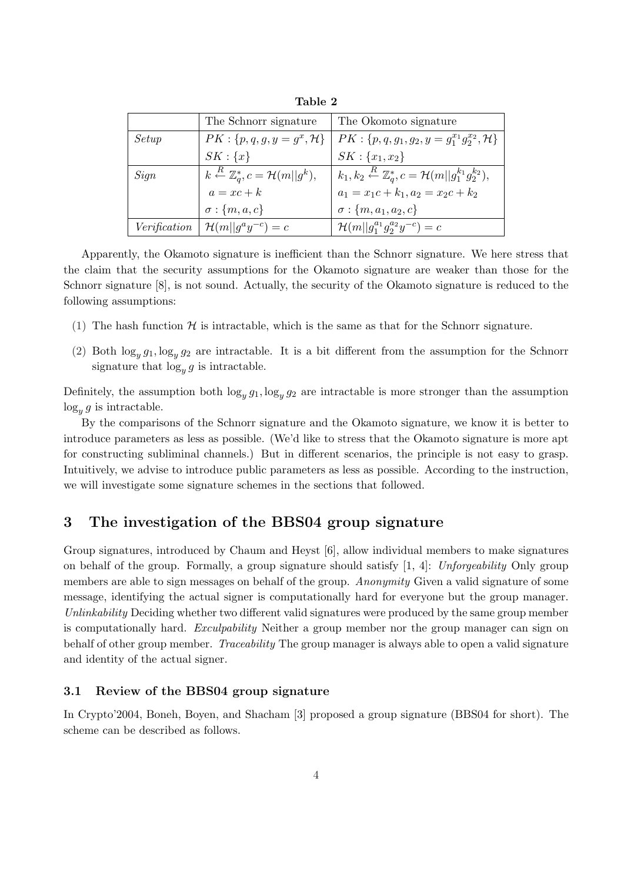|                     | The Schnorr signature                                                 | The Okomoto signature                                                                         |
|---------------------|-----------------------------------------------------------------------|-----------------------------------------------------------------------------------------------|
| Setup               | $PK: \{p, q, g, y = g^x, \mathcal{H}\}\$                              | $PK: \{p, q, g_1, g_2, y = g_1^{x_1} g_2^{x_2}, \mathcal{H}\}\$                               |
|                     | $SK: \{x\}$                                                           | $SK: \{x_1, x_2\}$                                                                            |
| Sign                | $k \stackrel{R}{\leftarrow} \mathbb{Z}_a^*, c = \mathcal{H}(m  g^k),$ | $  k_1, k_2 \stackrel{R}{\leftarrow} \mathbb{Z}_q^*, c = \mathcal{H}(m  g_1^{k_1}g_2^{k_2}),$ |
|                     | $a = xc + k$                                                          | $a_1 = x_1c + k_1, a_2 = x_2c + k_2$                                                          |
|                     | $\sigma: \{m, a, c\}$                                                 | $\sigma : \{m, a_1, a_2, c\}$                                                                 |
| <i>Verification</i> | $\mathcal{H}(m  g^ay^{-c})=c$                                         | $\mathcal{H}(m  g_1^{a_1}g_2^{a_2}y^{-c})=c$                                                  |

Table 2

Apparently, the Okamoto signature is inefficient than the Schnorr signature. We here stress that the claim that the security assumptions for the Okamoto signature are weaker than those for the Schnorr signature [8], is not sound. Actually, the security of the Okamoto signature is reduced to the following assumptions:

- (1) The hash function  $H$  is intractable, which is the same as that for the Schnorr signature.
- (2) Both  $\log_y g_1, \log_y g_2$  are intractable. It is a bit different from the assumption for the Schnorr signature that  $\log_y g$  is intractable.

Definitely, the assumption both  $\log_y g_1, \log_y g_2$  are intractable is more stronger than the assumption  $\log_y g$  is intractable.

By the comparisons of the Schnorr signature and the Okamoto signature, we know it is better to introduce parameters as less as possible. (We'd like to stress that the Okamoto signature is more apt for constructing subliminal channels.) But in different scenarios, the principle is not easy to grasp. Intuitively, we advise to introduce public parameters as less as possible. According to the instruction, we will investigate some signature schemes in the sections that followed.

# 3 The investigation of the BBS04 group signature

Group signatures, introduced by Chaum and Heyst [6], allow individual members to make signatures on behalf of the group. Formally, a group signature should satisfy  $[1, 4]$ : Unforgeability Only group members are able to sign messages on behalf of the group. Anonymity Given a valid signature of some message, identifying the actual signer is computationally hard for everyone but the group manager. Unlinkability Deciding whether two different valid signatures were produced by the same group member is computationally hard. *Exculpability* Neither a group member nor the group manager can sign on behalf of other group member. Traceability The group manager is always able to open a valid signature and identity of the actual signer.

#### 3.1 Review of the BBS04 group signature

In Crypto'2004, Boneh, Boyen, and Shacham [3] proposed a group signature (BBS04 for short). The scheme can be described as follows.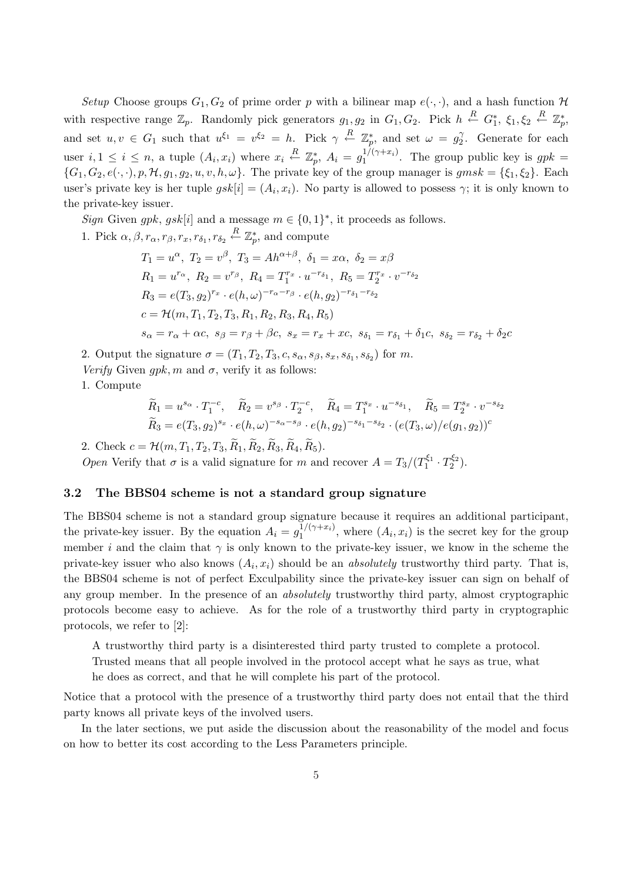Setup Choose groups  $G_1, G_2$  of prime order p with a bilinear map  $e(\cdot, \cdot)$ , and a hash function  $\mathcal H$ with respective range  $\mathbb{Z}_p$ . Randomly pick generators  $g_1, g_2$  in  $G_1, G_2$ . Pick  $h \stackrel{R}{\leftarrow} G_1^*, \xi_1, \xi_2 \stackrel{R}{\leftarrow} \mathbb{Z}_p^*,$ and set  $u, v \in G_1$  such that  $u^{\xi_1} = v^{\xi_2} = h$ . Pick  $\gamma \stackrel{R}{\leftarrow} \mathbb{Z}_p^*$ , and set  $\omega = g_2^{\gamma}$  $\gamma_2^{\gamma}$ . Generate for each user  $i, 1 \leq i \leq n$ , a tuple  $(A_i, x_i)$  where  $x_i \stackrel{R}{\leftarrow} \mathbb{Z}_p^*$ ,  $A_i = g_1^{1/(\gamma + x_i)}$  $I_1^{1/(\gamma+x_i)}$ . The group public key is  $gpk =$  ${G_1, G_2, e(\cdot, \cdot), p, \mathcal{H}, g_1, g_2, u, v, h, \omega}.$  The private key of the group manager is  $gmsk = {\xi_1, \xi_2}.$  Each user's private key is her tuple  $gsk[i] = (A_i, x_i)$ . No party is allowed to possess  $\gamma$ ; it is only known to the private-key issuer.

Sign Given gpk, gsk[i] and a message  $m \in \{0,1\}^*$ , it proceeds as follows.

1. Pick  $\alpha, \beta, r_{\alpha}, r_{\beta}, r_x, r_{\delta_1}, r_{\delta_2} \stackrel{R}{\leftarrow} \mathbb{Z}_p^*$ , and compute

$$
T_1 = u^{\alpha}, T_2 = v^{\beta}, T_3 = Ah^{\alpha+\beta}, \delta_1 = x\alpha, \delta_2 = x\beta
$$
  
\n
$$
R_1 = u^{r_{\alpha}}, R_2 = v^{r_{\beta}}, R_4 = T_1^{r_x} \cdot u^{-r_{\delta_1}}, R_5 = T_2^{r_x} \cdot v^{-r_{\delta_2}}
$$
  
\n
$$
R_3 = e(T_3, g_2)^{r_x} \cdot e(h, \omega)^{-r_{\alpha} - r_{\beta}} \cdot e(h, g_2)^{-r_{\delta_1} - r_{\delta_2}}
$$
  
\n
$$
c = \mathcal{H}(m, T_1, T_2, T_3, R_1, R_2, R_3, R_4, R_5)
$$
  
\n
$$
s_{\alpha} = r_{\alpha} + \alpha c, s_{\beta} = r_{\beta} + \beta c, s_x = r_x + xc, s_{\delta_1} = r_{\delta_1} + \delta_1 c, s_{\delta_2} = r_{\delta_2} + \delta_2 c
$$

2. Output the signature  $\sigma = (T_1, T_2, T_3, c, s_\alpha, s_\beta, s_x, s_{\delta_1}, s_{\delta_2})$  for m.

Verify Given qpk, m and  $\sigma$ , verify it as follows:

1. Compute

$$
\widetilde{R}_1 = u^{s_{\alpha}} \cdot T_1^{-c}, \quad \widetilde{R}_2 = v^{s_{\beta}} \cdot T_2^{-c}, \quad \widetilde{R}_4 = T_1^{s_x} \cdot u^{-s_{\delta_1}}, \quad \widetilde{R}_5 = T_2^{s_x} \cdot v^{-s_{\delta_2}}
$$
\n
$$
\widetilde{R}_3 = e(T_3, g_2)^{s_x} \cdot e(h, \omega)^{-s_{\alpha} - s_{\beta}} \cdot e(h, g_2)^{-s_{\delta_1} - s_{\delta_2}} \cdot (e(T_3, \omega)/e(g_1, g_2))^c
$$

2. Check  $c = H(m, T_1, T_2, T_3, \tilde{R}_1, \tilde{R}_2, \tilde{R}_3, \tilde{R}_4, \tilde{R}_5).$ 

*Open* Verify that  $\sigma$  is a valid signature for m and recover  $A = T_3/(T_1^{\xi_1} \cdot T_2^{\xi_2})$ .

#### 3.2 The BBS04 scheme is not a standard group signature

The BBS04 scheme is not a standard group signature because it requires an additional participant, the private-key issuer. By the equation  $A_i = g_1^{1/(\gamma + x_i)}$  $\binom{1}{1}$ , where  $(A_i, x_i)$  is the secret key for the group member i and the claim that  $\gamma$  is only known to the private-key issuer, we know in the scheme the private-key issuer who also knows  $(A_i, x_i)$  should be an *absolutely* trustworthy third party. That is, the BBS04 scheme is not of perfect Exculpability since the private-key issuer can sign on behalf of any group member. In the presence of an *absolutely* trustworthy third party, almost cryptographic protocols become easy to achieve. As for the role of a trustworthy third party in cryptographic protocols, we refer to [2]:

A trustworthy third party is a disinterested third party trusted to complete a protocol.

Trusted means that all people involved in the protocol accept what he says as true, what

he does as correct, and that he will complete his part of the protocol.

Notice that a protocol with the presence of a trustworthy third party does not entail that the third party knows all private keys of the involved users.

In the later sections, we put aside the discussion about the reasonability of the model and focus on how to better its cost according to the Less Parameters principle.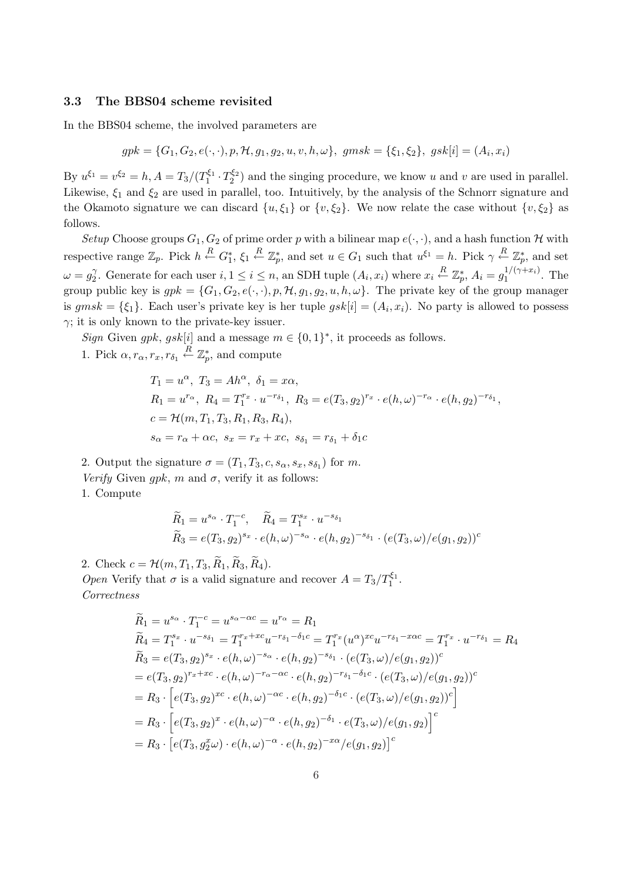#### 3.3 The BBS04 scheme revisited

In the BBS04 scheme, the involved parameters are

$$
gpk = \{G_1, G_2, e(\cdot, \cdot), p, \mathcal{H}, g_1, g_2, u, v, h, \omega\}, \ gmsk = \{\xi_1, \xi_2\}, \ gsk[i] = (A_i, x_i)
$$

By  $u^{\xi_1} = v^{\xi_2} = h$ ,  $A = T_3/(T_1^{\xi_1} \cdot T_2^{\xi_2})$  and the singing procedure, we know u and v are used in parallel. Likewise,  $\xi_1$  and  $\xi_2$  are used in parallel, too. Intuitively, by the analysis of the Schnorr signature and the Okamoto signature we can discard  $\{u, \xi_1\}$  or  $\{v, \xi_2\}$ . We now relate the case without  $\{v, \xi_2\}$  as follows.

Setup Choose groups  $G_1, G_2$  of prime order p with a bilinear map  $e(\cdot, \cdot)$ , and a hash function H with respective range  $\mathbb{Z}_p$ . Pick  $h \stackrel{R}{\leftarrow} G_1^*, \xi_1 \stackrel{R}{\leftarrow} \mathbb{Z}_p^*$ , and set  $u \in G_1$  such that  $u^{\xi_1} = h$ . Pick  $\gamma \stackrel{R}{\leftarrow} \mathbb{Z}_p^*$ , and set  $\omega = g_2^{\gamma}$ <sup>7</sup>. Generate for each user  $i, 1 \le i \le n$ , an SDH tuple  $(A_i, x_i)$  where  $x_i \stackrel{R}{\leftarrow} \mathbb{Z}_p^*$ ,  $A_i = g_1^{1/(\gamma + x_i)}$  $i_1^{1/(\gamma + x_i)}$ . The group public key is  $gpk = \{G_1, G_2, e(\cdot, \cdot), p, H, g_1, g_2, u, h, \omega\}$ . The private key of the group manager is  $gmsk = {\xi_1}$ . Each user's private key is her tuple  $gsk[i] = (A_i, x_i)$ . No party is allowed to possess  $\gamma$ ; it is only known to the private-key issuer.

Sign Given gpk, gsk[i] and a message  $m \in \{0,1\}^*$ , it proceeds as follows. 1. Pick  $\alpha, r_{\alpha}, r_{x}, r_{\delta_1} \stackrel{R}{\leftarrow} \mathbb{Z}_p^*$ , and compute

$$
T_1 = u^{\alpha}, T_3 = Ah^{\alpha}, \delta_1 = x\alpha,
$$
  
\n
$$
R_1 = u^{r_{\alpha}}, R_4 = T_1^{r_x} \cdot u^{-r_{\delta_1}}, R_3 = e(T_3, g_2)^{r_x} \cdot e(h, \omega)^{-r_{\alpha}} \cdot e(h, g_2)^{-r_{\delta_1}},
$$
  
\n
$$
c = \mathcal{H}(m, T_1, T_3, R_1, R_3, R_4),
$$
  
\n
$$
s_{\alpha} = r_{\alpha} + \alpha c, s_x = r_x + xc, s_{\delta_1} = r_{\delta_1} + \delta_1 c
$$

2. Output the signature  $\sigma = (T_1, T_3, c, s_\alpha, s_x, s_{\delta_1})$  for m.

Verify Given gpk, m and  $\sigma$ , verify it as follows:

1. Compute

$$
\widetilde{R}_1 = u^{s_{\alpha}} \cdot T_1^{-c}, \quad \widetilde{R}_4 = T_1^{s_x} \cdot u^{-s_{\delta_1}} \n\widetilde{R}_3 = e(T_3, g_2)^{s_x} \cdot e(h, \omega)^{-s_{\alpha}} \cdot e(h, g_2)^{-s_{\delta_1}} \cdot (e(T_3, \omega)/e(g_1, g_2))^c
$$

2. Check  $c = \mathcal{H}(m, T_1, T_3, \widetilde{R}_1, \widetilde{R}_3, \widetilde{R}_4)$ .

Open Verify that  $\sigma$  is a valid signature and recover  $A = T_3/T_1^{\xi_1}$ . Correctness

$$
\widetilde{R}_1 = u^{s_{\alpha}} \cdot T_1^{-c} = u^{s_{\alpha} - \alpha c} = u^{r_{\alpha}} = R_1
$$
\n
$$
\widetilde{R}_4 = T_1^{s_x} \cdot u^{-s_{\delta_1}} = T_1^{r_x + x_c} u^{-r_{\delta_1} - \delta_1 c} = T_1^{r_x} (u^{\alpha})^{x_c} u^{-r_{\delta_1} - x \alpha c} = T_1^{r_x} \cdot u^{-r_{\delta_1}} = R_4
$$
\n
$$
\widetilde{R}_3 = e(T_3, g_2)^{s_x} \cdot e(h, \omega)^{-s_{\alpha}} \cdot e(h, g_2)^{-s_{\delta_1}} \cdot (e(T_3, \omega)/e(g_1, g_2))^c
$$
\n
$$
= e(T_3, g_2)^{r_x + x_c} \cdot e(h, \omega)^{-r_{\alpha} - \alpha c} \cdot e(h, g_2)^{-r_{\delta_1} - \delta_1 c} \cdot (e(T_3, \omega)/e(g_1, g_2))^c
$$
\n
$$
= R_3 \cdot \left[ e(T_3, g_2)^{x_c} \cdot e(h, \omega)^{-\alpha c} \cdot e(h, g_2)^{-\delta_1 c} \cdot (e(T_3, \omega)/e(g_1, g_2))^c \right]
$$
\n
$$
= R_3 \cdot \left[ e(T_3, g_2)^x \cdot e(h, \omega)^{-\alpha} \cdot e(h, g_2)^{-\delta_1} \cdot e(T_3, \omega)/e(g_1, g_2) \right]^c
$$
\n
$$
= R_3 \cdot \left[ e(T_3, g_2^x \omega) \cdot e(h, \omega)^{-\alpha} \cdot e(h, g_2)^{-x_{\alpha}} / e(g_1, g_2) \right]^c
$$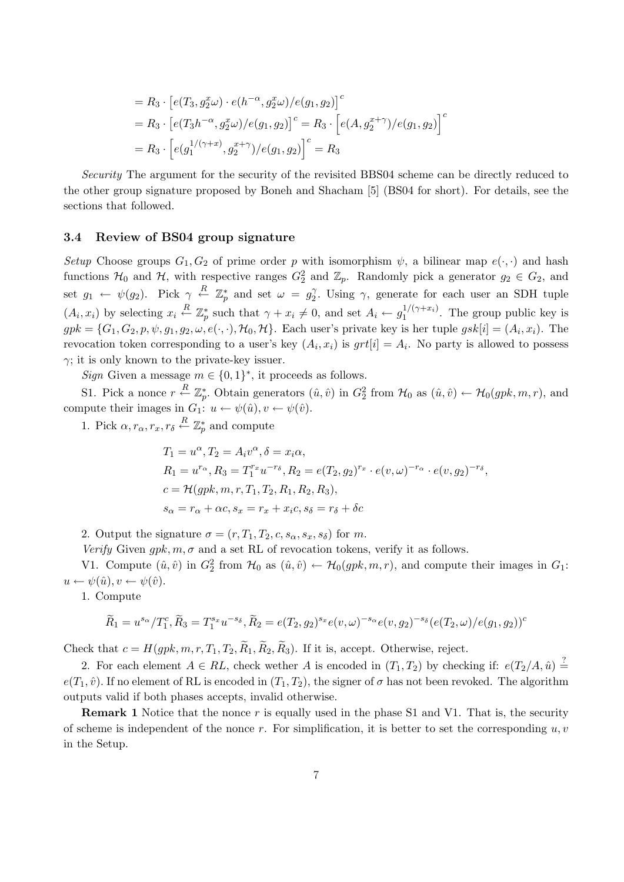$$
= R_3 \cdot [e(T_3, g_2^x \omega) \cdot e(h^{-\alpha}, g_2^x \omega) / e(g_1, g_2)]^c
$$
  
=  $R_3 \cdot [e(T_3 h^{-\alpha}, g_2^x \omega) / e(g_1, g_2)]^c = R_3 \cdot [e(A, g_2^{x+\gamma}) / e(g_1, g_2)]^c$   
=  $R_3 \cdot [e(g_1^{1/(\gamma+x)}, g_2^{x+\gamma}) / e(g_1, g_2)]^c = R_3$ 

Security The argument for the security of the revisited BBS04 scheme can be directly reduced to the other group signature proposed by Boneh and Shacham [5] (BS04 for short). For details, see the sections that followed.

#### 3.4 Review of BS04 group signature

Setup Choose groups  $G_1, G_2$  of prime order p with isomorphism  $\psi$ , a bilinear map  $e(\cdot, \cdot)$  and hash functions  $H_0$  and  $H$ , with respective ranges  $G_2^2$  and  $\mathbb{Z}_p$ . Randomly pick a generator  $g_2 \in G_2$ , and set  $g_1 \leftarrow \psi(g_2)$ . Pick  $\gamma \stackrel{R}{\leftarrow} \mathbb{Z}_p^*$  and set  $\omega = g_2^{\gamma}$ <sup>γ</sup>/<sub>2</sub>. Using γ, generate for each user an SDH tuple  $(A_i, x_i)$  by selecting  $x_i \stackrel{R}{\leftarrow} \mathbb{Z}_p^*$  such that  $\gamma + x_i \neq 0$ , and set  $A_i \leftarrow g_1^{1/(\gamma + x_i)}$  $I_1^{1/(\gamma+x_i)}$ . The group public key is  $gpk = \{G_1, G_2, p, \psi, g_1, g_2, \omega, e(\cdot, \cdot), \mathcal{H}_0, \mathcal{H}\}\.$  Each user's private key is her tuple  $gsk[i] = (A_i, x_i)$ . The revocation token corresponding to a user's key  $(A_i, x_i)$  is  $grt[i] = A_i$ . No party is allowed to possess  $\gamma$ ; it is only known to the private-key issuer.

Sign Given a message  $m \in \{0,1\}^*$ , it proceeds as follows.

S1. Pick a nonce  $r \stackrel{R}{\leftarrow} \mathbb{Z}_p^*$ . Obtain generators  $(\hat{u}, \hat{v})$  in  $G_2^2$  from  $\mathcal{H}_0$  as  $(\hat{u}, \hat{v}) \leftarrow \mathcal{H}_0(gpk, m, r)$ , and compute their images in  $G_1: u \leftarrow \psi(\hat{u}), v \leftarrow \psi(\hat{v})$ .

1. Pick  $\alpha, r_{\alpha}, r_{x}, r_{\delta} \stackrel{R}{\leftarrow} \mathbb{Z}_p^*$  and compute

$$
T_1 = u^{\alpha}, T_2 = A_i v^{\alpha}, \delta = x_i \alpha,
$$
  
\n
$$
R_1 = u^{r_{\alpha}}, R_3 = T_1^{r_x} u^{-r_{\delta}}, R_2 = e(T_2, g_2)^{r_x} \cdot e(v, \omega)^{-r_{\alpha}} \cdot e(v, g_2)^{-r_{\delta}},
$$
  
\n
$$
c = \mathcal{H}(gpk, m, r, T_1, T_2, R_1, R_2, R_3),
$$
  
\n
$$
s_{\alpha} = r_{\alpha} + \alpha c, s_x = r_x + x_i c, s_{\delta} = r_{\delta} + \delta c
$$

2. Output the signature  $\sigma = (r, T_1, T_2, c, s_\alpha, s_x, s_\delta)$  for m.

Verify Given gpk,  $m, \sigma$  and a set RL of revocation tokens, verify it as follows.

V1. Compute  $(\hat{u}, \hat{v})$  in  $G_2^2$  from  $\mathcal{H}_0$  as  $(\hat{u}, \hat{v}) \leftarrow \mathcal{H}_0(gpk, m, r)$ , and compute their images in  $G_1$ :  $u \leftarrow \psi(\hat{u}), v \leftarrow \psi(\hat{v}).$ 

1. Compute

$$
\widetilde{R}_1 = u^{s_{\alpha}}/T_1^c, \widetilde{R}_3 = T_1^{s_x} u^{-s_{\delta}}, \widetilde{R}_2 = e(T_2, g_2)^{s_x} e(v, \omega)^{-s_{\alpha}} e(v, g_2)^{-s_{\delta}} (e(T_2, \omega)/e(g_1, g_2))^c
$$

Check that  $c = H(gpk, m, r, T_1, T_2, \widetilde{R}_1, \widetilde{R}_2, \widetilde{R}_3)$ . If it is, accept. Otherwise, reject.

2. For each element  $A \in RL$ , check wether A is encoded in  $(T_1, T_2)$  by checking if:  $e(T_2/A, \hat{u}) \stackrel{?}{=}$  $e(T_1, \hat{v})$ . If no element of RL is encoded in  $(T_1, T_2)$ , the signer of  $\sigma$  has not been revoked. The algorithm outputs valid if both phases accepts, invalid otherwise.

**Remark 1** Notice that the nonce r is equally used in the phase S1 and V1. That is, the security of scheme is independent of the nonce r. For simplification, it is better to set the corresponding  $u, v$ in the Setup.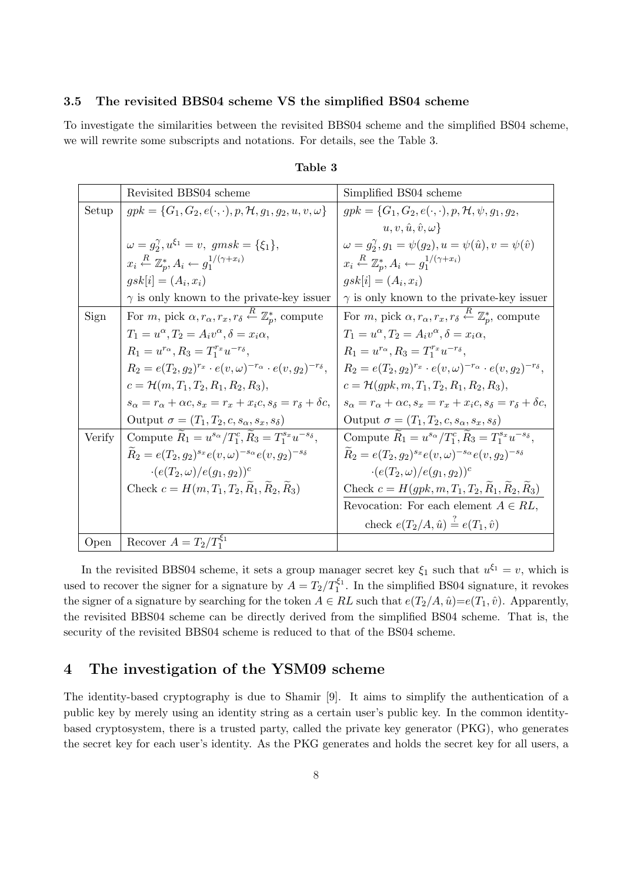#### 3.5 The revisited BBS04 scheme VS the simplified BS04 scheme

To investigate the similarities between the revisited BBS04 scheme and the simplified BS04 scheme, we will rewrite some subscripts and notations. For details, see the Table 3.

|        | Revisited BBS04 scheme                                                                                      | Simplified BS04 scheme                                                                                |
|--------|-------------------------------------------------------------------------------------------------------------|-------------------------------------------------------------------------------------------------------|
| Setup  | $gpk = \{G_1, G_2, e(\cdot, \cdot), p, H, g_1, g_2, u, v, \omega\}$                                         | $gpk = \{G_1, G_2, e(\cdot, \cdot), p, H, \psi, g_1, g_2,$                                            |
|        |                                                                                                             | $u, v, \hat{u}, \hat{v}, \omega$                                                                      |
|        | $\omega = g_2^{\gamma}, u^{\xi_1} = v, \; gmsk = {\xi_1},$                                                  | $\omega = g_2^{\gamma}, g_1 = \psi(g_2), u = \psi(\hat{u}), v = \psi(\hat{v})$                        |
|        | $x_i \stackrel{R}{\leftarrow} \mathbb{Z}_n^* A_i \leftarrow g_1^{1/(\gamma + x_i)}$                         | $x_i \stackrel{R}{\leftarrow} \mathbb{Z}_n^* A_i \leftarrow g_1^{1/(\gamma + x_i)}$                   |
|        | $gsk[i] = (A_i, x_i)$                                                                                       | $gsk[i] = (A_i, x_i)$                                                                                 |
|        | $\gamma$ is only known to the private-key issuer                                                            | $\gamma$ is only known to the private-key issuer                                                      |
| Sign   | For <i>m</i> , pick $\alpha, r_{\alpha}, r_x, r_{\delta} \stackrel{R}{\leftarrow} \mathbb{Z}_n^*$ , compute | For m, pick $\alpha, r_{\alpha}, r_{x}, r_{\delta} \stackrel{R}{\leftarrow} \mathbb{Z}_p^*$ , compute |
|        | $T_1 = u^{\alpha}, T_2 = A_i v^{\alpha}, \delta = x_i \alpha,$                                              | $T_1 = u^{\alpha}, T_2 = A_i v^{\alpha}, \delta = x_i \alpha,$                                        |
|        | $R_1 = u^{r_{\alpha}}, R_3 = T_1^{r_x} u^{-r_{\delta}},$                                                    | $R_1 = u^{r_{\alpha}}, R_3 = T_1^{r_x} u^{-r_{\delta}},$                                              |
|        | $R_2 = e(T_2, g_2)^{r_x} \cdot e(v, \omega)^{-r_\alpha} \cdot e(v, g_2)^{-r_\delta},$                       | $R_2 = e(T_2, g_2)^{r_x} \cdot e(v, \omega)^{-r_\alpha} \cdot e(v, g_2)^{-r_\delta},$                 |
|        | $c = \mathcal{H}(m, T_1, T_2, R_1, R_2, R_3),$                                                              | $c = \mathcal{H}(qpk, m, T_1, T_2, R_1, R_2, R_3),$                                                   |
|        | $s_{\alpha} = r_{\alpha} + \alpha c$ , $s_x = r_x + x_i c$ , $s_{\delta} = r_{\delta} + \delta c$ ,         | $s_{\alpha} = r_{\alpha} + \alpha c$ , $s_x = r_x + x_i c$ , $s_{\delta} = r_{\delta} + \delta c$ ,   |
|        | Output $\sigma = (T_1, T_2, c, s_\alpha, s_x, s_\delta)$                                                    | Output $\sigma = (T_1, T_2, c, s_\alpha, s_x, s_\delta)$                                              |
| Verify | Compute $R_1 = u^{s_{\alpha}}/T_1^c$ , $R_3 = T_1^{s_x} u^{-s_{\delta}}$ ,                                  | Compute $R_1 = u^{s_{\alpha}}/T_1^c$ , $R_3 = T_1^{s_x} u^{-s_{\delta}}$ ,                            |
|        | $R_2 = e(T_2, q_2)^{s_x} e(v, \omega)^{-s_\alpha} e(v, q_2)^{-s_\delta}$                                    | $R_2 = e(T_2, g_2)^{s_x} e(v, \omega)^{-s_\alpha} e(v, g_2)^{-s_\delta}$                              |
|        | $\cdot (e(T_2,\omega)/e(g_1,g_2))^c$                                                                        | $\cdot (e(T_2, \omega) / e(g_1, g_2))^c$                                                              |
|        | Check $c = H(m, T_1, T_2, R_1, R_2, R_3)$                                                                   | Check $c = H(gpk, m, T_1, T_2, R_1, R_2, R_3)$                                                        |
|        |                                                                                                             | Revocation: For each element $A \in RL$ ,                                                             |
|        |                                                                                                             | check $e(T_2/A, \hat{u}) = e(T_1, \hat{v})$                                                           |
| Open   | Recover $A = T_2/T_1^{\xi_1}$                                                                               |                                                                                                       |

Table 3

In the revisited BBS04 scheme, it sets a group manager secret key  $\xi_1$  such that  $u^{\xi_1} = v$ , which is used to recover the signer for a signature by  $A = T_2/T_1^{\xi_1}$ . In the simplified BS04 signature, it revokes the signer of a signature by searching for the token  $A \in RL$  such that  $e(T_2/A, \hat{u})=e(T_1, \hat{v})$ . Apparently, the revisited BBS04 scheme can be directly derived from the simplified BS04 scheme. That is, the security of the revisited BBS04 scheme is reduced to that of the BS04 scheme.

## 4 The investigation of the YSM09 scheme

The identity-based cryptography is due to Shamir [9]. It aims to simplify the authentication of a public key by merely using an identity string as a certain user's public key. In the common identitybased cryptosystem, there is a trusted party, called the private key generator (PKG), who generates the secret key for each user's identity. As the PKG generates and holds the secret key for all users, a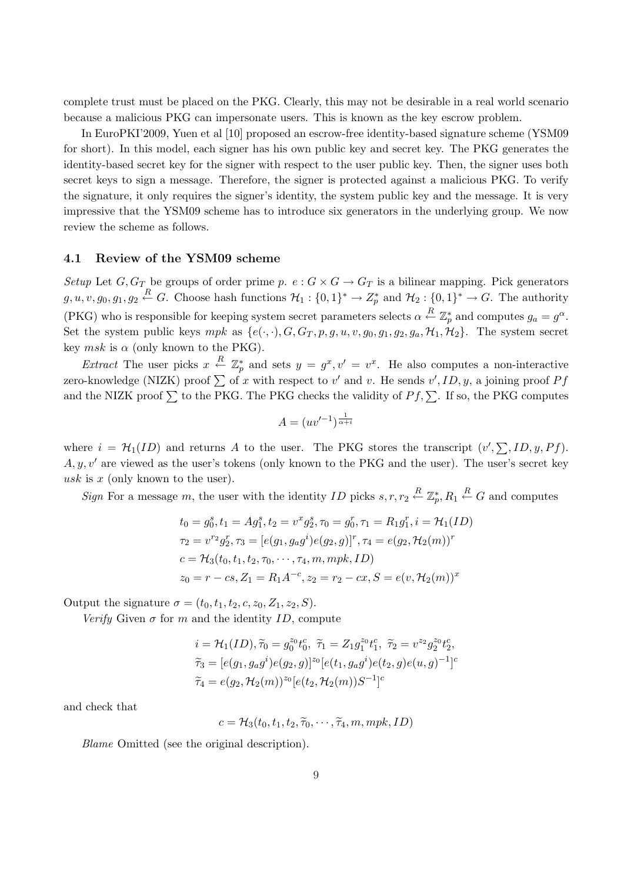complete trust must be placed on the PKG. Clearly, this may not be desirable in a real world scenario because a malicious PKG can impersonate users. This is known as the key escrow problem.

In EuroPKI'2009, Yuen et al [10] proposed an escrow-free identity-based signature scheme (YSM09 for short). In this model, each signer has his own public key and secret key. The PKG generates the identity-based secret key for the signer with respect to the user public key. Then, the signer uses both secret keys to sign a message. Therefore, the signer is protected against a malicious PKG. To verify the signature, it only requires the signer's identity, the system public key and the message. It is very impressive that the YSM09 scheme has to introduce six generators in the underlying group. We now review the scheme as follows.

#### 4.1 Review of the YSM09 scheme

Setup Let  $G, G_T$  be groups of order prime p.  $e : G \times G \to G_T$  is a bilinear mapping. Pick generators  $g, u, v, g_0, g_1, g_2 \stackrel{R}{\leftarrow} G$ . Choose hash functions  $\mathcal{H}_1: \{0,1\}^* \to Z_p^*$  and  $\mathcal{H}_2: \{0,1\}^* \to G$ . The authority (PKG) who is responsible for keeping system secret parameters selects  $\alpha \stackrel{R}{\leftarrow} \mathbb{Z}_p^*$  and computes  $g_a = g^{\alpha}$ . Set the system public keys mpk as  $\{e(\cdot,\cdot), G, G_T, p, g, u, v, g_0, g_1, g_2, g_a, \mathcal{H}_1, \mathcal{H}_2\}$ . The system secret key  $msk$  is  $\alpha$  (only known to the PKG).

Extract The user picks  $x \stackrel{R}{\leftarrow} \mathbb{Z}_p^*$  and sets  $y = g^x, v' = v^x$ . He also computes a non-interactive Extract The user pleas  $x \rightarrow \mathbb{Z}_p$  and sets  $y = y$ ,  $v = v$ . The also computes a non-interactive<br>zero-knowledge (NIZK) proof  $\sum$  of x with respect to v' and v. He sends v', ID, y, a joining proof Pf and the NIZK proof  $\Sigma$  to the PKG. The PKG checks the validity of  $P f$ ,  $\Sigma$ . If so, the PKG computes

$$
A = (uv'^{-1})^{\frac{1}{\alpha + i}}
$$

where  $i = \mathcal{H}_1(ID)$  and returns A to the user. The PKG stores the transcript  $(v', \sum, ID, y, Pf)$ .  $A, y, v'$  are viewed as the user's tokens (only known to the PKG and the user). The user's secret key usk is  $x$  (only known to the user).

Sign For a message m, the user with the identity ID picks  $s, r, r_2 \stackrel{R}{\leftarrow} \mathbb{Z}_p^*, R_1 \stackrel{R}{\leftarrow} G$  and computes

$$
t_0 = g_0^s, t_1 = Ag_1^s, t_2 = v^x g_2^s, \tau_0 = g_0^r, \tau_1 = R_1 g_1^r, i = \mathcal{H}_1(ID)
$$
  
\n
$$
\tau_2 = v^{r_2} g_2^r, \tau_3 = [e(g_1, g_a g^i) e(g_2, g)]^r, \tau_4 = e(g_2, \mathcal{H}_2(m))^r
$$
  
\n
$$
c = \mathcal{H}_3(t_0, t_1, t_2, \tau_0, \cdots, \tau_4, m, mpk, ID)
$$
  
\n
$$
z_0 = r - cs, Z_1 = R_1 A^{-c}, z_2 = r_2 - cx, S = e(v, \mathcal{H}_2(m))^x
$$

Output the signature  $\sigma = (t_0, t_1, t_2, c, z_0, Z_1, z_2, S)$ .

Verify Given  $\sigma$  for m and the identity ID, compute

$$
\begin{aligned}\ni&=\mathcal{H}_1(ID),\widetilde{\tau}_0=g_0^{z_0}t_0^c,\ \widetilde{\tau}_1=Z_1g_1^{z_0}t_1^c,\ \widetilde{\tau}_2=v^{z_2}g_2^{z_0}t_2^c,\\ \widetilde{\tau}_3&=[e(g_1,g_ag^i)e(g_2,g)]^{z_0}[e(t_1,g_ag^i)e(t_2,g)e(u,g)^{-1}]^c\\ \widetilde{\tau}_4&=e(g_2,\mathcal{H}_2(m))^{z_0}[e(t_2,\mathcal{H}_2(m))S^{-1}]^c\end{aligned}
$$

and check that

$$
c = \mathcal{H}_3(t_0, t_1, t_2, \widetilde{\tau}_0, \cdots, \widetilde{\tau}_4, m, mpk, ID)
$$

Blame Omitted (see the original description).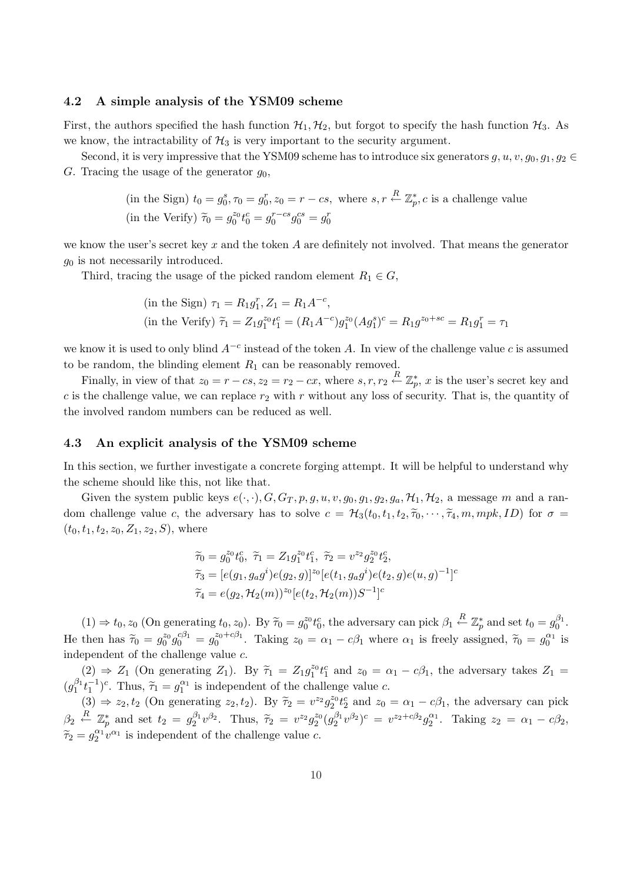#### 4.2 A simple analysis of the YSM09 scheme

First, the authors specified the hash function  $\mathcal{H}_1, \mathcal{H}_2$ , but forgot to specify the hash function  $\mathcal{H}_3$ . As we know, the intractability of  $\mathcal{H}_3$  is very important to the security argument.

Second, it is very impressive that the YSM09 scheme has to introduce six generators g, u, v,  $g_0, g_1, g_2 \in$ G. Tracing the usage of the generator  $g_0$ ,

> (in the Sign)  $t_0 = g_0^s, \tau_0 = g_0^r, z_0 = r - cs$ , where  $s, r \stackrel{R}{\leftarrow} \mathbb{Z}_p^*, c$  is a challenge value (in the Verify)  $\tilde{\tau}_0 = g_0^{z_0} t_0^c = g_0^{r-cs} g_0^{cs} = g_0^r$

we know the user's secret key x and the token A are definitely not involved. That means the generator  $g_0$  is not necessarily introduced.

Third, tracing the usage of the picked random element  $R_1 \in G$ ,

(in the Sign) 
$$
\tau_1 = R_1 g_1^r
$$
,  $Z_1 = R_1 A^{-c}$ ,  
(in the Verify)  $\tilde{\tau}_1 = Z_1 g_1^{z_0} t_1^c = (R_1 A^{-c}) g_1^{z_0} (A g_1^s)^c = R_1 g^{z_0 + sc} = R_1 g_1^r = \tau_1$ 

we know it is used to only blind  $A^{-c}$  instead of the token A. In view of the challenge value c is assumed to be random, the blinding element  $R_1$  can be reasonably removed.

Finally, in view of that  $z_0 = r - cs$ ,  $z_2 = r_2 - cx$ , where  $s, r, r_2 \stackrel{R}{\leftarrow} \mathbb{Z}_p^*$ , x is the user's secret key and c is the challenge value, we can replace  $r_2$  with r without any loss of security. That is, the quantity of the involved random numbers can be reduced as well.

#### 4.3 An explicit analysis of the YSM09 scheme

In this section, we further investigate a concrete forging attempt. It will be helpful to understand why the scheme should like this, not like that.

Given the system public keys  $e(\cdot, \cdot), G, G_T, p, g, u, v, g_0, g_1, g_2, g_a, \mathcal{H}_1, \mathcal{H}_2$ , a message m and a random challenge value c, the adversary has to solve  $c = \mathcal{H}_3(t_0, t_1, t_2, \tilde{\tau}_0, \cdots, \tilde{\tau}_4, m, mpk, ID)$  for  $\sigma =$  $(t_0, t_1, t_2, z_0, Z_1, z_2, S)$ , where

$$
\begin{aligned}\n\widetilde{\tau}_0 &= g_0^{z_0} t_0^c, \ \widetilde{\tau}_1 = Z_1 g_1^{z_0} t_1^c, \ \widetilde{\tau}_2 = v^{z_2} g_2^{z_0} t_2^c, \\
\widetilde{\tau}_3 &= [e(g_1, g_a g^i) e(g_2, g)]^{z_0} [e(t_1, g_a g^i) e(t_2, g) e(u, g)^{-1}]^c \\
\widetilde{\tau}_4 &= e(g_2, \mathcal{H}_2(m))^{z_0} [e(t_2, \mathcal{H}_2(m)) S^{-1}]^c\n\end{aligned}
$$

 $(1) \Rightarrow t_0, z_0$  (On generating  $t_0, z_0$ ). By  $\widetilde{\tau}_0 = g_0^{z_0} t_0^c$ , the adversary can pick  $\beta_1 \stackrel{R}{\leftarrow} \mathbb{Z}_p^*$  and set  $t_0 = g_0^{\beta_1}$ . He then has  $\tilde{\tau}_0 = g_0^{z_0} g_0^{c\beta_1} = g_0^{z_0+c\beta_1}$ . Taking  $z_0 = \alpha_1 - c\beta_1$  where  $\alpha_1$  is freely assigned,  $\tilde{\tau}_0 = g_0^{\alpha_1}$  is independent of the challenge value c.

 $(2) \Rightarrow Z_1$  (On generating  $Z_1$ ). By  $\tilde{\tau}_1 = Z_1 g_1^{z_0} t_1^c$  and  $z_0 = \alpha_1 - c\beta_1$ , the adversary takes  $Z_1 =$  $(g_1^{\beta_1}t_1^{-1})^c$ . Thus,  $\tilde{\tau}_1 = g_1^{\alpha_1}$  is independent of the challenge value c.

 $(3) \Rightarrow z_2, t_2$  (On generating  $z_2, t_2$ ). By  $\tilde{\tau}_2 = v^{z_2} g_2^{z_0} t_2^c$  and  $z_0 = \alpha_1 - c\beta_1$ , the adversary can pick  $\beta_2 \stackrel{R}{\leftarrow} \mathbb{Z}_p^*$  and set  $t_2 = g_2^{\beta_1} v^{\beta_2}$ . Thus,  $\widetilde{\tau}_2 = v^{z_2} g_2^{z_0} (g_2^{\beta_1} v^{\beta_2})^c = v^{z_2 + c\beta_2} g_2^{\alpha_1}$ . Taking  $z_2 = \alpha_1 - c\beta_2$ ,  $\widetilde{\tau}_2 = g_2^{\alpha_1} v^{\alpha_1}$  is independent of the challenge value c.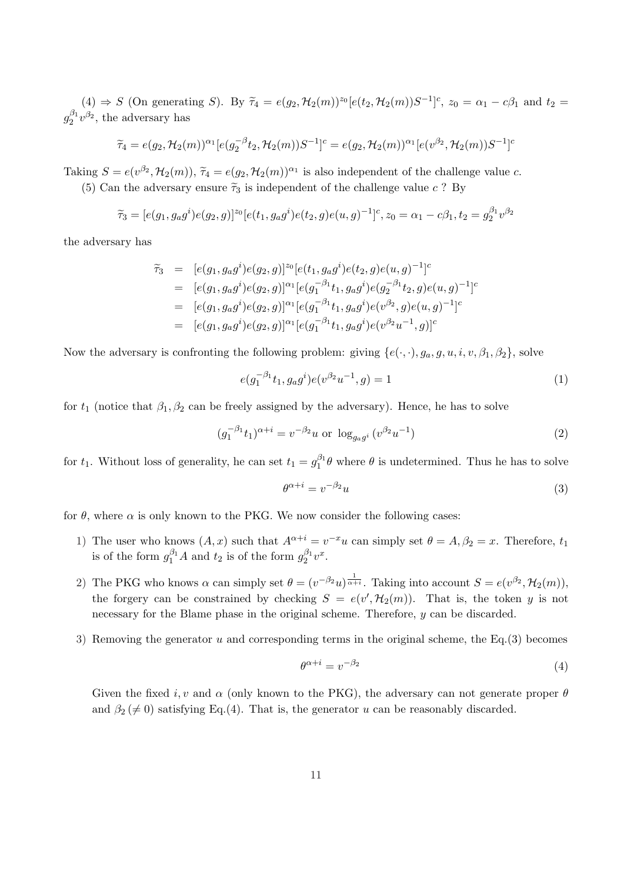$(4) \Rightarrow S$  (On generating S). By  $\tilde{\tau}_4 = e(g_2, \mathcal{H}_2(m))^{z_0} [e(t_2, \mathcal{H}_2(m))S^{-1}]^c$ ,  $z_0 = \alpha_1 - c\beta_1$  and  $t_2 =$  $g_2^{\beta_1}v^{\beta_2}$ , the adversary has

$$
\widetilde{\tau}_4 = e(g_2, \mathcal{H}_2(m))^{\alpha_1} [e(g_2^{-\beta} t_2, \mathcal{H}_2(m)) S^{-1}]^c = e(g_2, \mathcal{H}_2(m))^{\alpha_1} [e(v^{\beta_2}, \mathcal{H}_2(m)) S^{-1}]^c
$$

Taking  $S = e(v^{\beta_2}, \mathcal{H}_2(m))$ ,  $\tilde{\tau}_4 = e(g_2, \mathcal{H}_2(m))^{\alpha_1}$  is also independent of the challenge value c. (5) Can the adversary ensure  $\tilde{\tau}_3$  is independent of the challenge value c ? By

$$
\widetilde{\tau}_3 = [e(g_1, g_a g^i) e(g_2, g)]^{z_0} [e(t_1, g_a g^i) e(t_2, g) e(u, g)^{-1}]^c, z_0 = \alpha_1 - c\beta_1, t_2 = g_2^{\beta_1} v^{\beta_2}
$$

the adversary has

$$
\begin{array}{rcl}\n\widetilde{\tau}_3 & = & [e(g_1, g_a g^i) e(g_2, g)]^{z_0} [e(t_1, g_a g^i) e(t_2, g) e(u, g)^{-1}]^c \\
& = & [e(g_1, g_a g^i) e(g_2, g)]^{\alpha_1} [e(g_1^{-\beta_1} t_1, g_a g^i) e(g_2^{-\beta_1} t_2, g) e(u, g)^{-1}]^c \\
& = & [e(g_1, g_a g^i) e(g_2, g)]^{\alpha_1} [e(g_1^{-\beta_1} t_1, g_a g^i) e(v^{\beta_2}, g) e(u, g)^{-1}]^c \\
& = & [e(g_1, g_a g^i) e(g_2, g)]^{\alpha_1} [e(g_1^{-\beta_1} t_1, g_a g^i) e(v^{\beta_2} u^{-1}, g)]^c\n\end{array}
$$

Now the adversary is confronting the following problem: giving  $\{e(\cdot,\cdot), g_a, g, u, i, v, \beta_1, \beta_2\}$ , solve

$$
e(g_1^{-\beta_1}t_1, g_a g^i)e(v^{\beta_2}u^{-1}, g) = 1
$$
\n(1)

for  $t_1$  (notice that  $\beta_1, \beta_2$  can be freely assigned by the adversary). Hence, he has to solve

$$
(g_1^{-\beta_1}t_1)^{\alpha+i} = v^{-\beta_2}u \text{ or } \log_{g_2g} (v^{\beta_2}u^{-1})
$$
\n(2)

for  $t_1$ . Without loss of generality, he can set  $t_1 = g_1^{\beta_1} \theta$  where  $\theta$  is undetermined. Thus he has to solve

$$
\theta^{\alpha+i} = v^{-\beta_2} u \tag{3}
$$

for  $\theta$ , where  $\alpha$  is only known to the PKG. We now consider the following cases:

- 1) The user who knows  $(A, x)$  such that  $A^{\alpha+i} = v^{-x}u$  can simply set  $\theta = A, \beta_2 = x$ . Therefore,  $t_1$ is of the form  $g_1^{\beta_1}A$  and  $t_2$  is of the form  $g_2^{\beta_1}v^x$ .
- 2) The PKG who knows  $\alpha$  can simply set  $\theta = (v^{-\beta_2}u)^{\frac{1}{\alpha+i}}$ . Taking into account  $S = e(v^{\beta_2}, \mathcal{H}_2(m))$ , the forgery can be constrained by checking  $S = e(v', \mathcal{H}_2(m))$ . That is, the token y is not necessary for the Blame phase in the original scheme. Therefore, y can be discarded.
- 3) Removing the generator u and corresponding terms in the original scheme, the  $Eq.(3)$  becomes

$$
\theta^{\alpha+i} = v^{-\beta_2} \tag{4}
$$

Given the fixed i, v and  $\alpha$  (only known to the PKG), the adversary can not generate proper  $\theta$ and  $\beta_2 \neq 0$ ) satisfying Eq.(4). That is, the generator u can be reasonably discarded.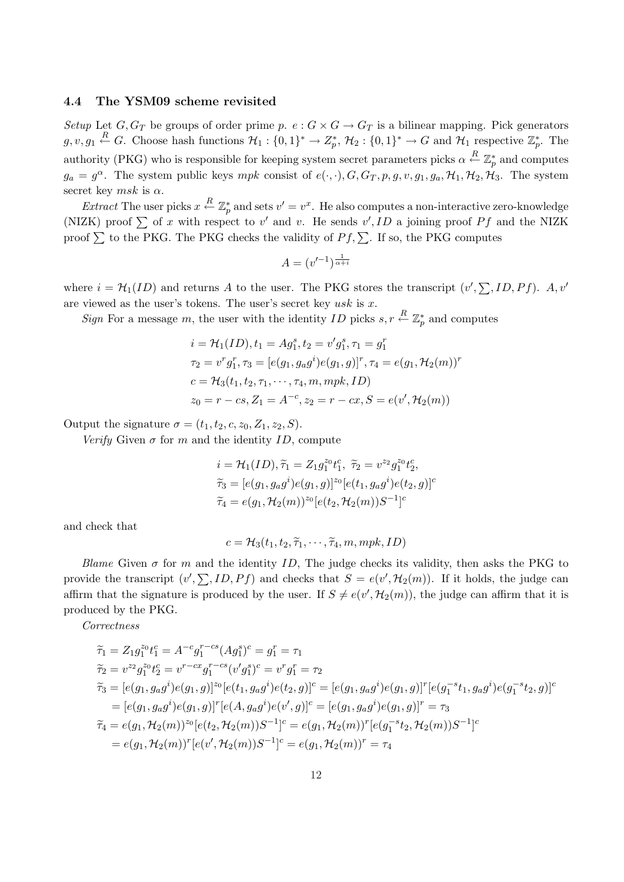#### 4.4 The YSM09 scheme revisited

Setup Let  $G, G_T$  be groups of order prime p.  $e : G \times G \to G_T$  is a bilinear mapping. Pick generators  $g, v, g_1 \stackrel{R}{\leftarrow} G$ . Choose hash functions  $\mathcal{H}_1: \{0,1\}^* \to Z_p^*, \mathcal{H}_2: \{0,1\}^* \to G$  and  $\mathcal{H}_1$  respective  $\mathbb{Z}_p^*$ . The authority (PKG) who is responsible for keeping system secret parameters picks  $\alpha \stackrel{R}{\leftarrow} \mathbb{Z}_p^*$  and computes  $g_a = g^{\alpha}$ . The system public keys mpk consist of  $e(\cdot, \cdot), G, G_T, p, g, v, g_1, g_a, \mathcal{H}_1, \mathcal{H}_2, \mathcal{H}_3$ . The system secret key msk is  $\alpha$ .

Extract The user picks  $x \stackrel{R}{\leftarrow} \mathbb{Z}_p^*$  and sets  $v' = v^x$ . He also computes a non-interactive zero-knowledge Extract The aser picks  $x \sim \mathbb{Z}_p$  and sets  $v = v$ . The also computes a non-interactive zero-knowledge (NIZK) proof  $\sum$  of x with respect to v' and v. He sends v', ID a joining proof  $Pf$  and the NIZK proof  $\sum$  to the PKG. The PKG checks the validity of  $P f, \sum$ . If so, the PKG computes

$$
A = (v'^{-1})^{\frac{1}{\alpha + i}}
$$

where  $i = \mathcal{H}_1(ID)$  and returns A to the user. The PKG stores the transcript  $(v', \sum, ID, Pf)$ . A, v' are viewed as the user's tokens. The user's secret key  $usk$  is x.

Sign For a message m, the user with the identity ID picks  $s, r \stackrel{R}{\leftarrow} \mathbb{Z}_p^*$  and computes

$$
i = \mathcal{H}_1(ID), t_1 = Ag_1^s, t_2 = v'g_1^s, \tau_1 = g_1^r
$$
  
\n
$$
\tau_2 = v^r g_1^r, \tau_3 = [e(g_1, g_a g^i) e(g_1, g)]^r, \tau_4 = e(g_1, \mathcal{H}_2(m))^r
$$
  
\n
$$
c = \mathcal{H}_3(t_1, t_2, \tau_1, \cdots, \tau_4, m, mpk, ID)
$$
  
\n
$$
z_0 = r - cs, Z_1 = A^{-c}, z_2 = r - cx, S = e(v', \mathcal{H}_2(m))
$$

Output the signature  $\sigma = (t_1, t_2, c, z_0, Z_1, z_2, S)$ .

Verify Given  $\sigma$  for m and the identity ID, compute

$$
i = \mathcal{H}_1(ID), \tilde{\tau}_1 = Z_1 g_1^{z_0} t_1^c, \ \tilde{\tau}_2 = v^{z_2} g_1^{z_0} t_2^c,
$$
  

$$
\tilde{\tau}_3 = [e(g_1, g_a g^i) e(g_1, g)]^{z_0} [e(t_1, g_a g^i) e(t_2, g)]^c
$$
  

$$
\tilde{\tau}_4 = e(g_1, \mathcal{H}_2(m))^{z_0} [e(t_2, \mathcal{H}_2(m)) S^{-1}]^c
$$

and check that

$$
c = \mathcal{H}_3(t_1, t_2, \widetilde{\tau}_1, \cdots, \widetilde{\tau}_4, m, mpk, ID)
$$

Blame Given  $\sigma$  for m and the identity ID, The judge checks its validity, then asks the PKG to provide the transcript  $(v', \sum, ID, Pf)$  and checks that  $S = e(v', \mathcal{H}_2(m))$ . If it holds, the judge can affirm that the signature is produced by the user. If  $S \neq e(v', \mathcal{H}_2(m))$ , the judge can affirm that it is produced by the PKG.

Correctness

$$
\begin{aligned}\n\widetilde{\tau}_1 &= Z_1 g_1^{z_0} t_1^c = A^{-c} g_1^{r-cs} (A g_1^s)^c = g_1^r = \tau_1 \\
\widetilde{\tau}_2 &= v^{z_2} g_1^{z_0} t_2^c = v^{r-cx} g_1^{r-cs} (v' g_1^s)^c = v^r g_1^r = \tau_2 \\
\widetilde{\tau}_3 &= [e(g_1, g_a g^i) e(g_1, g)]^{z_0} [e(t_1, g_a g^i) e(t_2, g)]^c = [e(g_1, g_a g^i) e(g_1, g)]^r [e(g_1^{-s} t_1, g_a g^i) e(g_1^{-s} t_2, g)]^c \\
&= [e(g_1, g_a g^i) e(g_1, g)]^r [e(A, g_a g^i) e(v', g)]^c = [e(g_1, g_a g^i) e(g_1, g)]^r = \tau_3 \\
\widetilde{\tau}_4 &= e(g_1, \mathcal{H}_2(m))^{z_0} [e(t_2, \mathcal{H}_2(m)) S^{-1}]^c = e(g_1, \mathcal{H}_2(m))^r [e(g_1^{-s} t_2, \mathcal{H}_2(m)) S^{-1}]^c \\
&= e(g_1, \mathcal{H}_2(m))^r [e(v', \mathcal{H}_2(m)) S^{-1}]^c = e(g_1, \mathcal{H}_2(m))^r = \tau_4\n\end{aligned}
$$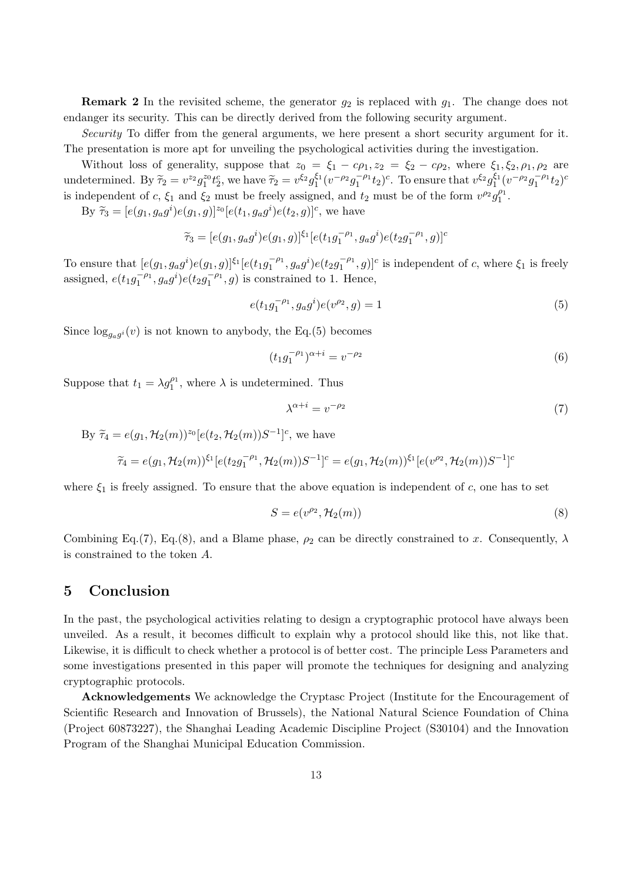**Remark 2** In the revisited scheme, the generator  $g_2$  is replaced with  $g_1$ . The change does not endanger its security. This can be directly derived from the following security argument.

Security To differ from the general arguments, we here present a short security argument for it. The presentation is more apt for unveiling the psychological activities during the investigation.

Without loss of generality, suppose that  $z_0 = \xi_1 - c\rho_1$ ,  $z_2 = \xi_2 - c\rho_2$ , where  $\xi_1, \xi_2, \rho_1, \rho_2$  are undetermined. By  $\tilde{\tau}_2 = v^{z_2} g_1^{z_0} t_2^c$ , we have  $\tilde{\tau}_2 = v^{\xi_2} g_1^{\xi_1} (v^{-\rho_2} g_1^{-\rho_1} t_2)^c$ . To ensure that  $v^{\xi_2} g_1^{\xi_1} (v^{-\rho_2} g_1^{-\rho_1} t_2)^c$ is independent of c,  $\xi_1$  and  $\xi_2$  must be freely assigned, and  $t_2$  must be of the form  $v^{\rho_2}g_1^{\rho_1}$ .

By  $\tilde{\tau}_3 = [e(g_1, g_a g^i) e(g_1, g)]^{z_0} [e(t_1, g_a g^i) e(t_2, g)]^c$ , we have

$$
\widetilde{\tau}_3 = [e(g_1, g_a g^i) e(g_1, g)]^{\xi_1} [e(t_1 g_1^{-\rho_1}, g_a g^i) e(t_2 g_1^{-\rho_1}, g)]^c
$$

To ensure that  $[e(g_1, g_2 g^i)e(g_1, g)]^{\xi_1}[e(t_1 g_1^{-\rho_1}, g_2 g^i)e(t_2 g_1^{-\rho_1}, g)]^c$  is independent of c, where  $\xi_1$  is freely assigned,  $e(t_1g_1^{-\rho_1}, g_ag^i)e(t_2g_1^{-\rho_1}, g)$  is constrained to 1. Hence,

$$
e(t_1g_1^{-\rho_1}, g_a g^i)e(v^{\rho_2}, g) = 1
$$
\n(5)

Since  $\log_{g_a g^i}(v)$  is not known to anybody, the Eq.(5) becomes

$$
(t_1 g_1^{-\rho_1})^{\alpha+i} = v^{-\rho_2} \tag{6}
$$

Suppose that  $t_1 = \lambda g_1^{\rho_1}$ , where  $\lambda$  is undetermined. Thus

$$
\lambda^{\alpha+i} = v^{-\rho_2} \tag{7}
$$

By 
$$
\tilde{\tau}_4 = e(g_1, \mathcal{H}_2(m))^{z_0} [e(t_2, \mathcal{H}_2(m))S^{-1}]^c
$$
, we have  
\n
$$
\tilde{\tau}_4 = e(g_1, \mathcal{H}_2(m))^{z_1} [e(t_2 g_1^{-\rho_1}, \mathcal{H}_2(m))S^{-1}]^c = e(g_1, \mathcal{H}_2(m))^{z_1} [e(v^{\rho_2}, \mathcal{H}_2(m))S^{-1}]^c
$$

where  $\xi_1$  is freely assigned. To ensure that the above equation is independent of c, one has to set

$$
S = e(v^{\rho_2}, \mathcal{H}_2(m))
$$
\n<sup>(8)</sup>

Combining Eq.(7), Eq.(8), and a Blame phase,  $\rho_2$  can be directly constrained to x. Consequently,  $\lambda$ is constrained to the token A.

## 5 Conclusion

In the past, the psychological activities relating to design a cryptographic protocol have always been unveiled. As a result, it becomes difficult to explain why a protocol should like this, not like that. Likewise, it is difficult to check whether a protocol is of better cost. The principle Less Parameters and some investigations presented in this paper will promote the techniques for designing and analyzing cryptographic protocols.

Acknowledgements We acknowledge the Cryptasc Project (Institute for the Encouragement of Scientific Research and Innovation of Brussels), the National Natural Science Foundation of China (Project 60873227), the Shanghai Leading Academic Discipline Project (S30104) and the Innovation Program of the Shanghai Municipal Education Commission.